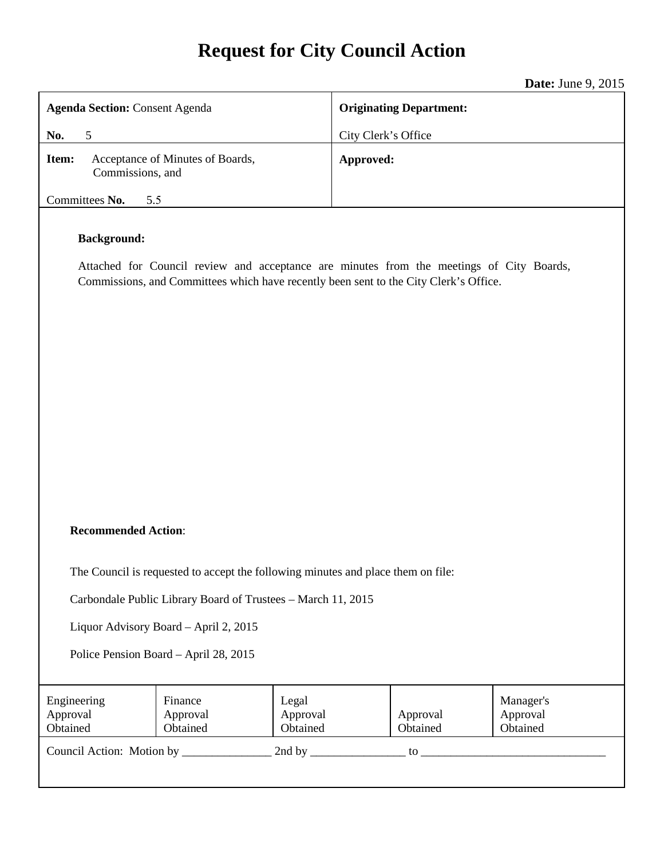# **Request for City Council Action**

**Date:** June 9, 2015

| <b>Agenda Section: Consent Agenda</b>                                                                                                                                                                   |                                  | <b>Originating Department:</b> |           |                      |                                   |
|---------------------------------------------------------------------------------------------------------------------------------------------------------------------------------------------------------|----------------------------------|--------------------------------|-----------|----------------------|-----------------------------------|
| $\mathfrak{S}$<br>No.                                                                                                                                                                                   |                                  | City Clerk's Office            |           |                      |                                   |
| Item:<br>Commissions, and                                                                                                                                                                               | Acceptance of Minutes of Boards, |                                | Approved: |                      |                                   |
| Committees No.<br>5.5                                                                                                                                                                                   |                                  |                                |           |                      |                                   |
| <b>Background:</b><br>Attached for Council review and acceptance are minutes from the meetings of City Boards,<br>Commissions, and Committees which have recently been sent to the City Clerk's Office. |                                  |                                |           |                      |                                   |
|                                                                                                                                                                                                         |                                  |                                |           |                      |                                   |
|                                                                                                                                                                                                         |                                  |                                |           |                      |                                   |
|                                                                                                                                                                                                         |                                  |                                |           |                      |                                   |
|                                                                                                                                                                                                         |                                  |                                |           |                      |                                   |
|                                                                                                                                                                                                         |                                  |                                |           |                      |                                   |
| <b>Recommended Action:</b>                                                                                                                                                                              |                                  |                                |           |                      |                                   |
| The Council is requested to accept the following minutes and place them on file:                                                                                                                        |                                  |                                |           |                      |                                   |
| Carbondale Public Library Board of Trustees - March 11, 2015                                                                                                                                            |                                  |                                |           |                      |                                   |
| Liquor Advisory Board - April 2, 2015                                                                                                                                                                   |                                  |                                |           |                      |                                   |
| Police Pension Board - April 28, 2015                                                                                                                                                                   |                                  |                                |           |                      |                                   |
| Engineering<br>Approval<br>Obtained                                                                                                                                                                     | Finance<br>Approval<br>Obtained  | Legal<br>Approval<br>Obtained  |           | Approval<br>Obtained | Manager's<br>Approval<br>Obtained |
| Council Action: Motion by _<br>2nd by $\_$                                                                                                                                                              |                                  |                                |           | to                   |                                   |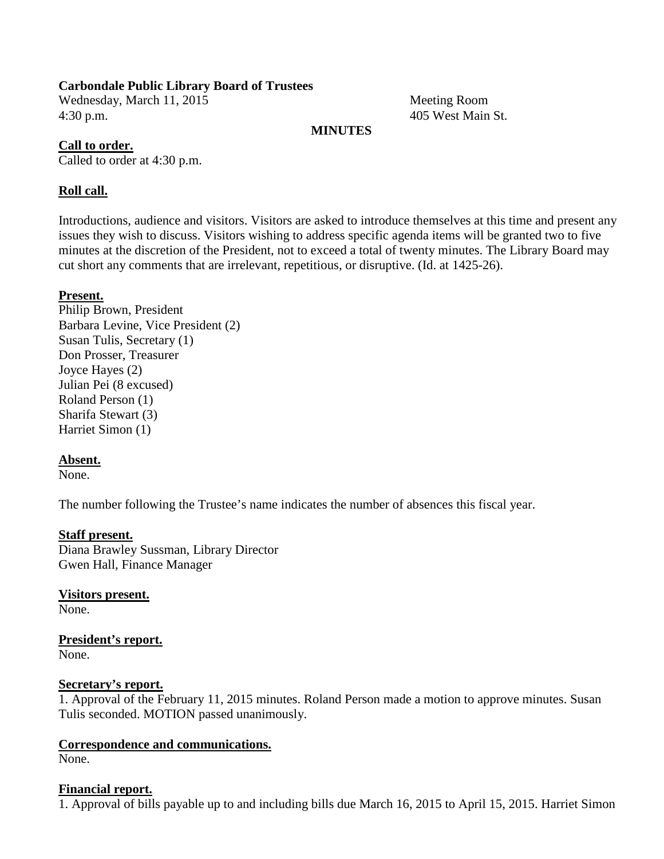## **Carbondale Public Library Board of Trustees**

Wednesday, March 11, 2015 Meeting Room 4:30 p.m. 405 West Main St.

## **MINUTES**

#### **Call to order.**

Called to order at 4:30 p.m.

## **Roll call.**

Introductions, audience and visitors. Visitors are asked to introduce themselves at this time and present any issues they wish to discuss. Visitors wishing to address specific agenda items will be granted two to five minutes at the discretion of the President, not to exceed a total of twenty minutes. The Library Board may cut short any comments that are irrelevant, repetitious, or disruptive. (Id. at 1425-26).

## **Present.**

Philip Brown, President Barbara Levine, Vice President (2) Susan Tulis, Secretary (1) Don Prosser, Treasurer Joyce Hayes (2) Julian Pei (8 excused) Roland Person (1) Sharifa Stewart (3) Harriet Simon (1)

#### **Absent.**

None.

The number following the Trustee's name indicates the number of absences this fiscal year.

#### **Staff present.**

Diana Brawley Sussman, Library Director Gwen Hall, Finance Manager

#### **Visitors present.**

None.

# **President's report.**

None.

#### **Secretary's report.**

1. Approval of the February 11, 2015 minutes. Roland Person made a motion to approve minutes. Susan Tulis seconded. MOTION passed unanimously.

#### **Correspondence and communications.** None.

#### **Financial report.**

1. Approval of bills payable up to and including bills due March 16, 2015 to April 15, 2015. Harriet Simon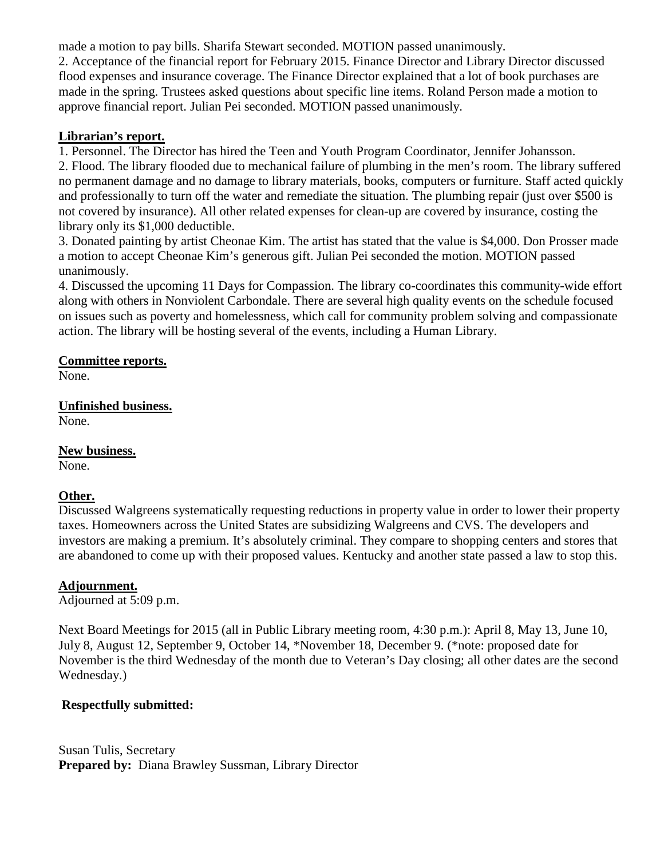made a motion to pay bills. Sharifa Stewart seconded. MOTION passed unanimously.

2. Acceptance of the financial report for February 2015. Finance Director and Library Director discussed flood expenses and insurance coverage. The Finance Director explained that a lot of book purchases are made in the spring. Trustees asked questions about specific line items. Roland Person made a motion to approve financial report. Julian Pei seconded. MOTION passed unanimously.

## **Librarian's report.**

1. Personnel. The Director has hired the Teen and Youth Program Coordinator, Jennifer Johansson.

2. Flood. The library flooded due to mechanical failure of plumbing in the men's room. The library suffered no permanent damage and no damage to library materials, books, computers or furniture. Staff acted quickly and professionally to turn off the water and remediate the situation. The plumbing repair (just over \$500 is not covered by insurance). All other related expenses for clean-up are covered by insurance, costing the library only its \$1,000 deductible.

3. Donated painting by artist Cheonae Kim. The artist has stated that the value is \$4,000. Don Prosser made a motion to accept Cheonae Kim's generous gift. Julian Pei seconded the motion. MOTION passed unanimously.

4. Discussed the upcoming 11 Days for Compassion. The library co-coordinates this community-wide effort along with others in Nonviolent Carbondale. There are several high quality events on the schedule focused on issues such as poverty and homelessness, which call for community problem solving and compassionate action. The library will be hosting several of the events, including a Human Library.

## **Committee reports.**

None.

# **Unfinished business.**

None.

## **New business.**

None.

## **Other.**

Discussed Walgreens systematically requesting reductions in property value in order to lower their property taxes. Homeowners across the United States are subsidizing Walgreens and CVS. The developers and investors are making a premium. It's absolutely criminal. They compare to shopping centers and stores that are abandoned to come up with their proposed values. Kentucky and another state passed a law to stop this.

## **Adjournment.**

Adjourned at 5:09 p.m.

Next Board Meetings for 2015 (all in Public Library meeting room, 4:30 p.m.): April 8, May 13, June 10, July 8, August 12, September 9, October 14, \*November 18, December 9. (\*note: proposed date for November is the third Wednesday of the month due to Veteran's Day closing; all other dates are the second Wednesday.)

## **Respectfully submitted:**

Susan Tulis, Secretary **Prepared by:** Diana Brawley Sussman, Library Director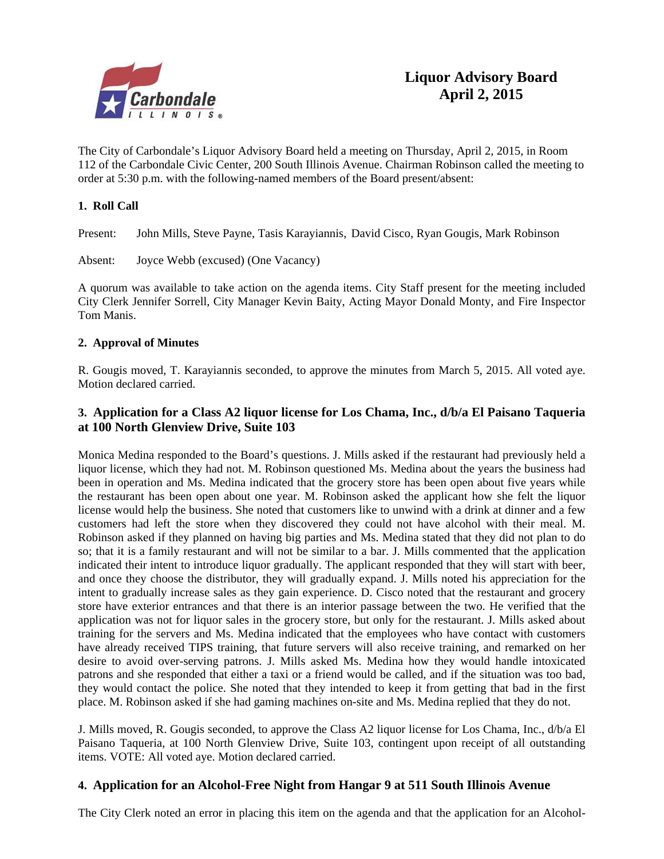

The City of Carbondale's Liquor Advisory Board held a meeting on Thursday, April 2, 2015, in Room 112 of the Carbondale Civic Center, 200 South Illinois Avenue. Chairman Robinson called the meeting to order at 5:30 p.m. with the following-named members of the Board present/absent:

## **1. Roll Call**

Present: John Mills, Steve Payne, Tasis Karayiannis, David Cisco, Ryan Gougis, Mark Robinson

Absent: Joyce Webb (excused) (One Vacancy)

A quorum was available to take action on the agenda items. City Staff present for the meeting included City Clerk Jennifer Sorrell, City Manager Kevin Baity, Acting Mayor Donald Monty, and Fire Inspector Tom Manis.

#### **2. Approval of Minutes**

R. Gougis moved, T. Karayiannis seconded, to approve the minutes from March 5, 2015. All voted aye. Motion declared carried.

## **3. Application for a Class A2 liquor license for Los Chama, Inc., d/b/a El Paisano Taqueria at 100 North Glenview Drive, Suite 103**

Monica Medina responded to the Board's questions. J. Mills asked if the restaurant had previously held a liquor license, which they had not. M. Robinson questioned Ms. Medina about the years the business had been in operation and Ms. Medina indicated that the grocery store has been open about five years while the restaurant has been open about one year. M. Robinson asked the applicant how she felt the liquor license would help the business. She noted that customers like to unwind with a drink at dinner and a few customers had left the store when they discovered they could not have alcohol with their meal. M. Robinson asked if they planned on having big parties and Ms. Medina stated that they did not plan to do so; that it is a family restaurant and will not be similar to a bar. J. Mills commented that the application indicated their intent to introduce liquor gradually. The applicant responded that they will start with beer, and once they choose the distributor, they will gradually expand. J. Mills noted his appreciation for the intent to gradually increase sales as they gain experience. D. Cisco noted that the restaurant and grocery store have exterior entrances and that there is an interior passage between the two. He verified that the application was not for liquor sales in the grocery store, but only for the restaurant. J. Mills asked about training for the servers and Ms. Medina indicated that the employees who have contact with customers have already received TIPS training, that future servers will also receive training, and remarked on her desire to avoid over-serving patrons. J. Mills asked Ms. Medina how they would handle intoxicated patrons and she responded that either a taxi or a friend would be called, and if the situation was too bad, they would contact the police. She noted that they intended to keep it from getting that bad in the first place. M. Robinson asked if she had gaming machines on-site and Ms. Medina replied that they do not.

J. Mills moved, R. Gougis seconded, to approve the Class A2 liquor license for Los Chama, Inc., d/b/a El Paisano Taqueria, at 100 North Glenview Drive, Suite 103, contingent upon receipt of all outstanding items. VOTE: All voted aye. Motion declared carried.

#### **4. Application for an Alcohol-Free Night from Hangar 9 at 511 South Illinois Avenue**

The City Clerk noted an error in placing this item on the agenda and that the application for an Alcohol-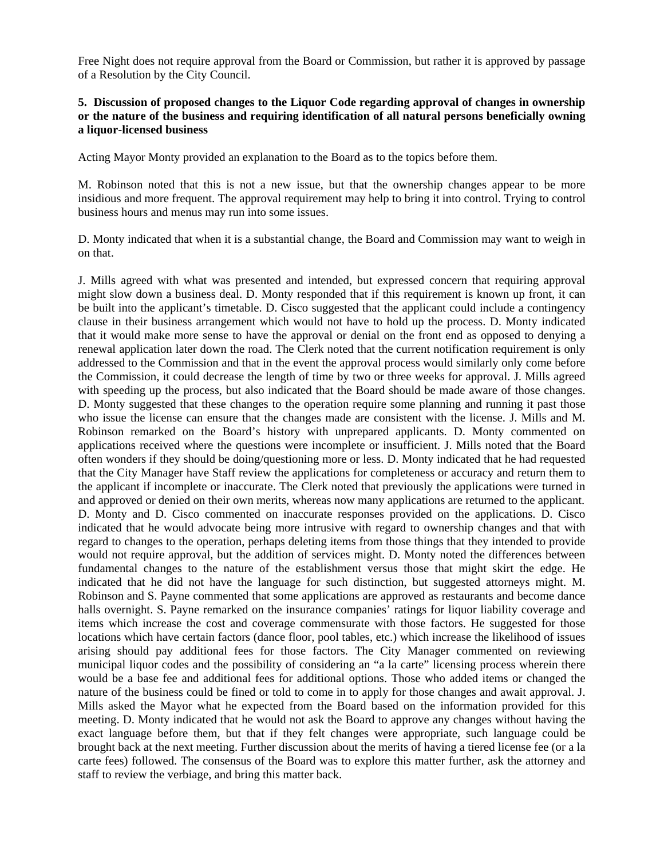Free Night does not require approval from the Board or Commission, but rather it is approved by passage of a Resolution by the City Council.

#### **5. Discussion of proposed changes to the Liquor Code regarding approval of changes in ownership or the nature of the business and requiring identification of all natural persons beneficially owning a liquor-licensed business**

Acting Mayor Monty provided an explanation to the Board as to the topics before them.

M. Robinson noted that this is not a new issue, but that the ownership changes appear to be more insidious and more frequent. The approval requirement may help to bring it into control. Trying to control business hours and menus may run into some issues.

D. Monty indicated that when it is a substantial change, the Board and Commission may want to weigh in on that.

J. Mills agreed with what was presented and intended, but expressed concern that requiring approval might slow down a business deal. D. Monty responded that if this requirement is known up front, it can be built into the applicant's timetable. D. Cisco suggested that the applicant could include a contingency clause in their business arrangement which would not have to hold up the process. D. Monty indicated that it would make more sense to have the approval or denial on the front end as opposed to denying a renewal application later down the road. The Clerk noted that the current notification requirement is only addressed to the Commission and that in the event the approval process would similarly only come before the Commission, it could decrease the length of time by two or three weeks for approval. J. Mills agreed with speeding up the process, but also indicated that the Board should be made aware of those changes. D. Monty suggested that these changes to the operation require some planning and running it past those who issue the license can ensure that the changes made are consistent with the license. J. Mills and M. Robinson remarked on the Board's history with unprepared applicants. D. Monty commented on applications received where the questions were incomplete or insufficient. J. Mills noted that the Board often wonders if they should be doing/questioning more or less. D. Monty indicated that he had requested that the City Manager have Staff review the applications for completeness or accuracy and return them to the applicant if incomplete or inaccurate. The Clerk noted that previously the applications were turned in and approved or denied on their own merits, whereas now many applications are returned to the applicant. D. Monty and D. Cisco commented on inaccurate responses provided on the applications. D. Cisco indicated that he would advocate being more intrusive with regard to ownership changes and that with regard to changes to the operation, perhaps deleting items from those things that they intended to provide would not require approval, but the addition of services might. D. Monty noted the differences between fundamental changes to the nature of the establishment versus those that might skirt the edge. He indicated that he did not have the language for such distinction, but suggested attorneys might. M. Robinson and S. Payne commented that some applications are approved as restaurants and become dance halls overnight. S. Payne remarked on the insurance companies' ratings for liquor liability coverage and items which increase the cost and coverage commensurate with those factors. He suggested for those locations which have certain factors (dance floor, pool tables, etc.) which increase the likelihood of issues arising should pay additional fees for those factors. The City Manager commented on reviewing municipal liquor codes and the possibility of considering an "a la carte" licensing process wherein there would be a base fee and additional fees for additional options. Those who added items or changed the nature of the business could be fined or told to come in to apply for those changes and await approval. J. Mills asked the Mayor what he expected from the Board based on the information provided for this meeting. D. Monty indicated that he would not ask the Board to approve any changes without having the exact language before them, but that if they felt changes were appropriate, such language could be brought back at the next meeting. Further discussion about the merits of having a tiered license fee (or a la carte fees) followed. The consensus of the Board was to explore this matter further, ask the attorney and staff to review the verbiage, and bring this matter back.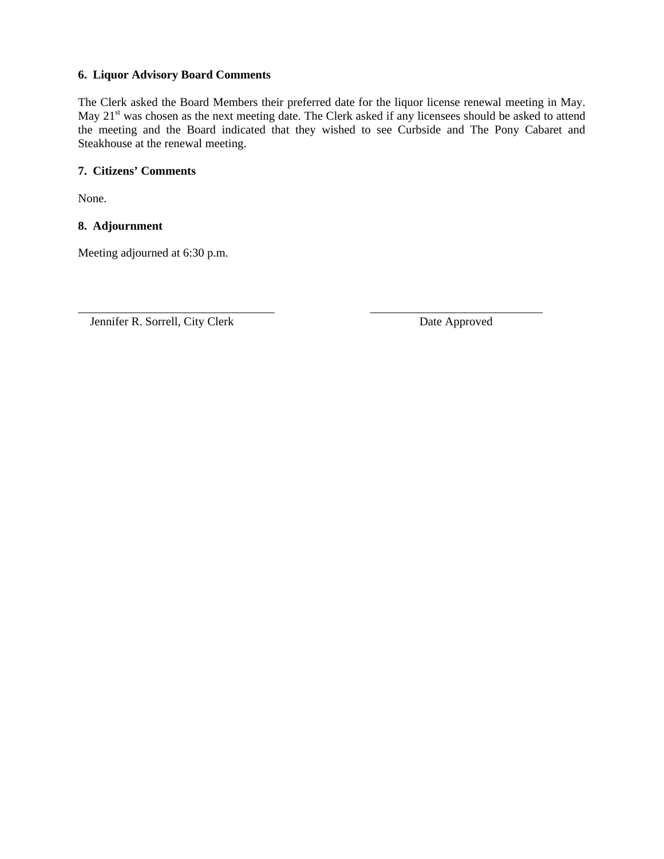#### **6. Liquor Advisory Board Comments**

The Clerk asked the Board Members their preferred date for the liquor license renewal meeting in May. May 21<sup>st</sup> was chosen as the next meeting date. The Clerk asked if any licensees should be asked to attend the meeting and the Board indicated that they wished to see Curbside and The Pony Cabaret and Steakhouse at the renewal meeting.

#### **7. Citizens' Comments**

None.

#### **8. Adjournment**

Meeting adjourned at 6:30 p.m.

Jennifer R. Sorrell, City Clerk Date Approved

\_\_\_\_\_\_\_\_\_\_\_\_\_\_\_\_\_\_\_\_\_\_\_\_\_\_\_\_\_\_\_\_\_ \_\_\_\_\_\_\_\_\_\_\_\_\_\_\_\_\_\_\_\_\_\_\_\_\_\_\_\_\_